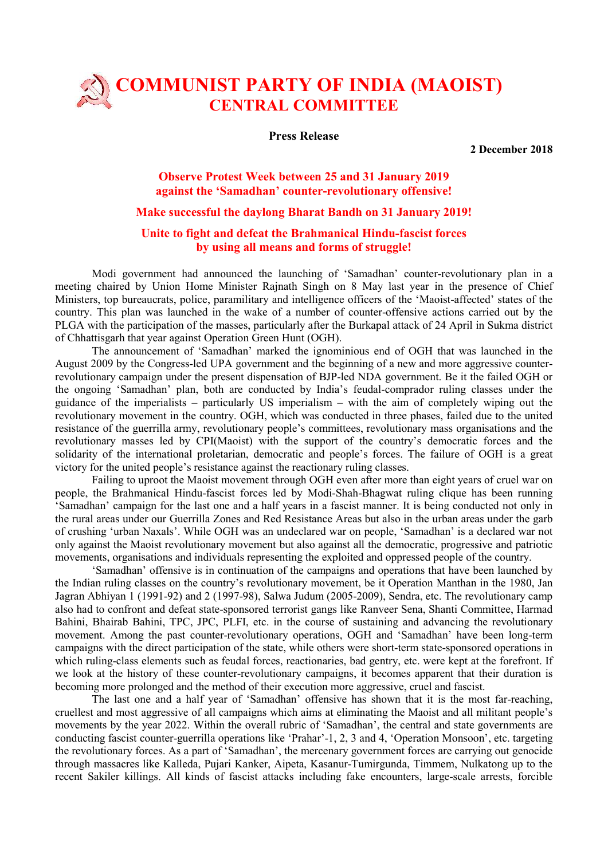# COMMUNIST PARTY OF INDIA (MAOIST) **CENTRAL COMMITTEE**

#### Press Release

2 December 2018

### Observe Protest Week between 25 and 31 January 2019 against the 'Samadhan' counter-revolutionary offensive!

## Make successful the daylong Bharat Bandh on 31 January 2019!

### Unite to fight and defeat the Brahmanical Hindu-fascist forces by using all means and forms of struggle!

Modi government had announced the launching of 'Samadhan' counter-revolutionary plan in a meeting chaired by Union Home Minister Rajnath Singh on 8 May last year in the presence of Chief Ministers, top bureaucrats, police, paramilitary and intelligence officers of the 'Maoist-affected' states of the country. This plan was launched in the wake of a number of counter-offensive actions carried out by the PLGA with the participation of the masses, particularly after the Burkapal attack of 24 April in Sukma district of Chhattisgarh that year against Operation Green Hunt (OGH).

The announcement of 'Samadhan' marked the ignominious end of OGH that was launched in the August 2009 by the Congress-led UPA government and the beginning of a new and more aggressive counterrevolutionary campaign under the present dispensation of BJP-led NDA government. Be it the failed OGH or the ongoing 'Samadhan' plan, both are conducted by India's feudal-comprador ruling classes under the guidance of the imperialists – particularly US imperialism – with the aim of completely wiping out the revolutionary movement in the country. OGH, which was conducted in three phases, failed due to the united resistance of the guerrilla army, revolutionary people's committees, revolutionary mass organisations and the revolutionary masses led by CPI(Maoist) with the support of the country's democratic forces and the solidarity of the international proletarian, democratic and people's forces. The failure of OGH is a great victory for the united people's resistance against the reactionary ruling classes.

Failing to uproot the Maoist movement through OGH even after more than eight years of cruel war on people, the Brahmanical Hindu-fascist forces led by Modi-Shah-Bhagwat ruling clique has been running 'Samadhan' campaign for the last one and a half years in a fascist manner. It is being conducted not only in the rural areas under our Guerrilla Zones and Red Resistance Areas but also in the urban areas under the garb of crushing 'urban Naxals'. While OGH was an undeclared war on people, 'Samadhan' is a declared war not only against the Maoist revolutionary movement but also against all the democratic, progressive and patriotic movements, organisations and individuals representing the exploited and oppressed people of the country.

'Samadhan' offensive is in continuation of the campaigns and operations that have been launched by the Indian ruling classes on the country's revolutionary movement, be it Operation Manthan in the 1980, Jan Jagran Abhiyan 1 (1991-92) and 2 (1997-98), Salwa Judum (2005-2009), Sendra, etc. The revolutionary camp also had to confront and defeat state-sponsored terrorist gangs like Ranveer Sena, Shanti Committee, Harmad Bahini, Bhairab Bahini, TPC, JPC, PLFI, etc. in the course of sustaining and advancing the revolutionary movement. Among the past counter-revolutionary operations, OGH and 'Samadhan' have been long-term campaigns with the direct participation of the state, while others were short-term state-sponsored operations in which ruling-class elements such as feudal forces, reactionaries, bad gentry, etc. were kept at the forefront. If we look at the history of these counter-revolutionary campaigns, it becomes apparent that their duration is becoming more prolonged and the method of their execution more aggressive, cruel and fascist.

The last one and a half year of 'Samadhan' offensive has shown that it is the most far-reaching, cruellest and most aggressive of all campaigns which aims at eliminating the Maoist and all militant people's movements by the year 2022. Within the overall rubric of 'Samadhan', the central and state governments are conducting fascist counter-guerrilla operations like 'Prahar'-1, 2, 3 and 4, 'Operation Monsoon', etc. targeting the revolutionary forces. As a part of 'Samadhan', the mercenary government forces are carrying out genocide through massacres like Kalleda, Pujari Kanker, Aipeta, Kasanur-Tumirgunda, Timmem, Nulkatong up to the recent Sakiler killings. All kinds of fascist attacks including fake encounters, large-scale arrests, forcible